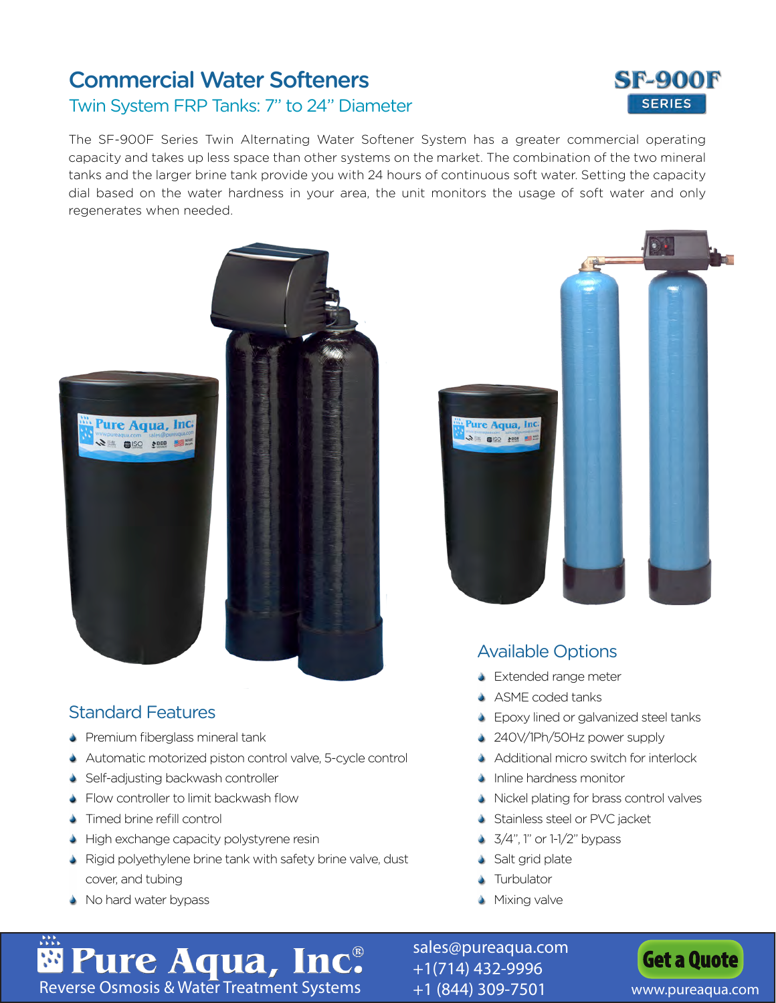## Twin System FRP Tanks: 7" to 24" Diameter **Commercial Water Softeners <b>SF-900F**



The SF-900F Series Twin Alternating Water Softener System has a greater commercial operating capacity and takes up less space than other systems on the market. The combination of the two mineral tanks and the larger brine tank provide you with 24 hours of continuous soft water. Setting the capacity dial based on the water hardness in your area, the unit monitors the usage of soft water and only regenerates when needed.



### Standard Features

- **S** Premium fiberglass mineral tank
- Automatic motorized piston control valve, 5-cycle control S
- Self-adjusting backwash controller
- S Flow controller to limit backwash flow
- **S** Timed brine refill control
- **I** High exchange capacity polystyrene resin
- Rigid polyethylene brine tank with safety brine valve, dust cover, and tubing
- No hard water bypass

# ure Aqua, Inc. WE SISO FOR SEL

### Available Options

- **S** Extended range meter
- ASME coded tanks
- **S** Epoxy lined or galvanized steel tanks
- 240V/1Ph/50Hz power supply
- Additional micro switch for interlock S
- **Inline hardness monitor**
- Nickel plating for brass control valves
- Stainless steel or PVC jacket
- $\rightarrow$  3/4", 1" or 1-1/2" bypass
- Salt grid plate
- **S** Turbulator
- **S** Mixing valve

**Rure Aqua, Inc.**<br>[Reverse Osmosis & Water Treatment Systems](http://www.pureaqua.com/)

[sales@pureaqua.com](mailto:sales@pureaqua.com) +1(714) 432-9996 +1 (844) 309-7501 [www.pureaqua.com](http://www.pureaqua.com/)